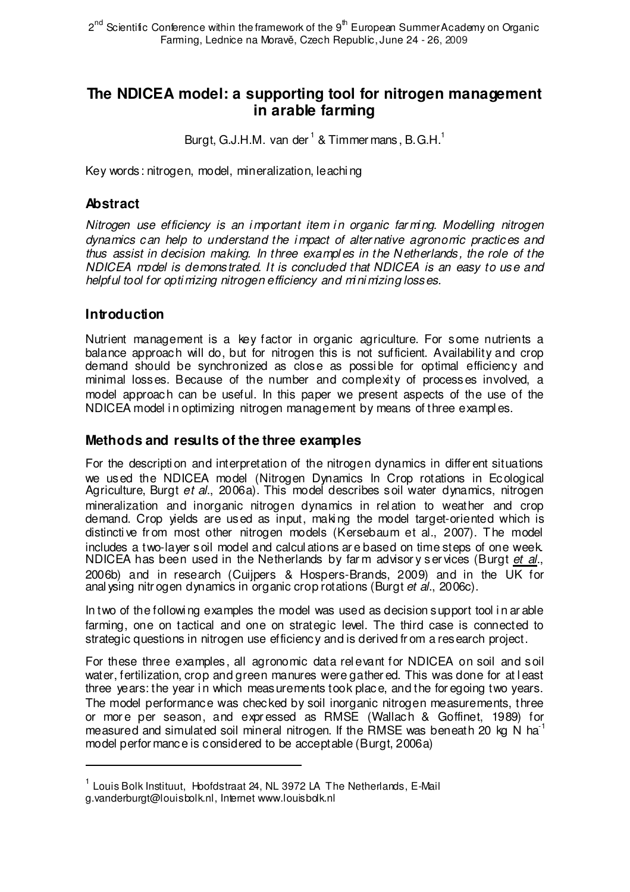# **The NDICEA model: a supporting tool for nitrogen management in arable farming**

Burgt, G.J.H.M. van der  $^1$  & Timmer mans, B.G.H. $^1$ 

Key words: nitrogen, model, mineralization, leachi ng

## **Abstract**

Nitrogen use efficiency is an important item in organic farming. Modelling nitrogen dynamics can help to understand the i mpact of alter native agronomic practices and thus assist in decision making. In three exampl es in the N etherlands, the role of the NDICEA model is demonstrated. It is concluded that NDICEA is an easy to use and helpful tool for opti mizing nitrogen efficiency and mini mizing losses.

## **Introduction**

l

Nutrient management is a key factor in organic agriculture. For some nutrients a balance approach will do, but for nitrogen this is not sufficient. Availability and crop demand should be synchronized as close as possi ble for optimal efficiency and minimal losses. Because of the number and complexity of processes involved, a model approach can be useful. In this paper we present aspects of the use of the NDICEA model i n optimizing nitrogen management by means of three exampl es.

## **Methods and results of the three examples**

For the descripti on and interpretation of the nitrogen dynamics in differ ent situations we used the NDICEA model (Nitrogen Dynamics In Crop rotations in Ecological Agriculture, Burgt et al., 2006a). This model describes soil water dynamics, nitrogen mineralization and inorganic nitrogen dynamics in rel ation to weather and crop demand. Crop yields are used as input, maki ng the model target-oriented which is distincti ve fr om most other nitrogen models (Kersebaum et al., 2007). The model includes a two-layer soil model and calcul ations ar e based on time steps of one week. NDICEA has been used in the Netherlands by farm advisory services (Burgt et al., 2006b) and in research (Cuijpers & Hospers-Brands, 2009) and in the UK for anal ysing nitr ogen dynamics in organic crop rotations (Burgt et al., 2006c).

In two of the followi ng examples the model was used as decision support tool i n ar able farming, one on tactical and one on strategic level. The third case is connected to strategic questions in nitrogen use efficiency and is derived fr om a research project.

For these three examples, all agronomic data rel evant for NDICEA on soil and soil water, fertilization, crop and green manures were gather ed. This was done for at least three years: the year in which measurements took place, and the for egoing two years. The model performance was checked by soil inorganic nitrogen measurements, three or mor e per season, and expr essed as RMSE (Wallach & Goffinet, 1989) for measured and simulated soil mineral nitrogen. If the RMSE was beneath 20 kg N ha<sup>-1</sup> model perfor mance is considered to be acceptable (Burgt, 2006a)

<sup>&</sup>lt;sup>1</sup> Louis Bolk Instituut, Hoofdstraat 24, NL 3972 LA The Netherlands, E-Mail g.vanderburgt@louisbolk.nl, Internet www.louisbolk.nl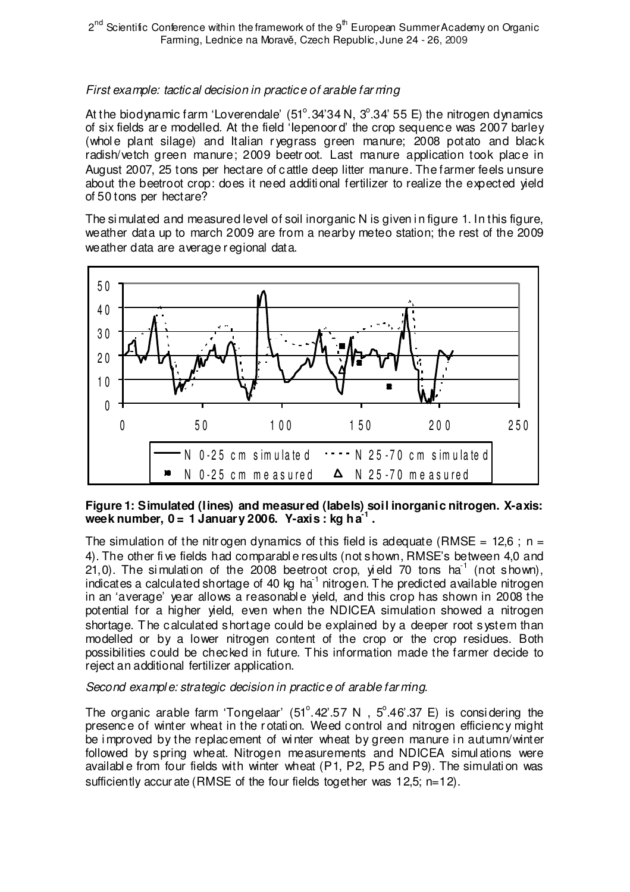### First example: tactical decision in practice of arable far ming

At the biodynamic farm 'Loverendale'  $(51^{\circ}.34'34 N, 3^{\circ}.34' 55 E)$  the nitrogen dynamics of six fields ar e modelled. At the field 'Iepenoor d' the crop sequence was 2007 barley (whole plant silage) and Italian r vegrass green manure;  $2008$  potato and black radish/vetch green manure; 2009 beetr oot. Last manure application took place in August 2007, 25 tons per hectare of cattle deep litter manure. The farmer feels unsure about the beetroot crop: does it need additi onal fertilizer to realize the expected yield of 50 tons per hectare?

The simulated and measured level of soil inorganic N is given in figure 1. In this figure, weather data up to march 2009 are from a nearby meteo station; the rest of the 2009 weather data are average r egional data.



#### **Figure 1: Simulated (lines) and measured (labels) soil inorganic nitrogen. X-axis: week number, 0 = 1 January 2006. Y-axis : kg ha-1 .**

The simulation of the nitrogen dynamics of this field is adequate (RMSE = 12,6; n = 4). The other fi ve fields had comparabl e results (not shown, RMSE's between 4,0 and 21,0). The simulation of the  $2008$  beetroot crop, yield 70 tons ha<sup>1</sup> (not shown), indicates a calculated shortage of 40 kg ha $^{-1}$  nitrogen. The predicted available nitrogen in an 'average' year allows a reasonable yield, and this crop has shown in 2008 the potential for a higher yield, even when the NDICEA simulation showed a nitrogen shortage. The calculated shortage could be explained by a deeper root system than modelled or by a lower nitrogen content of the crop or the crop residues. Both possibilities could be checked in future. This information made the farmer decide to reject an additional fertilizer application.

#### Second example: strategic decision in practice of arable farming.

The organic arable farm 'Tongelaar'  $(51^{\circ}.42^{\circ}.57 \text{ N}$ ,  $5^{\circ}.46^{\circ}.37 \text{ E})$  is considering the presence of winter wheat in the r otati on. Weed control and nitrogen efficiency might be improved by the replacement of winter wheat by green manure in autumn/winter followed by spring wheat. Nitrogen measurements and NDICEA simul ations were availabl e from four fields with winter wheat (P1, P2, P5 and P9). The simulati on was sufficiently accur ate (RMSE of the four fields together was 12,5; n=12).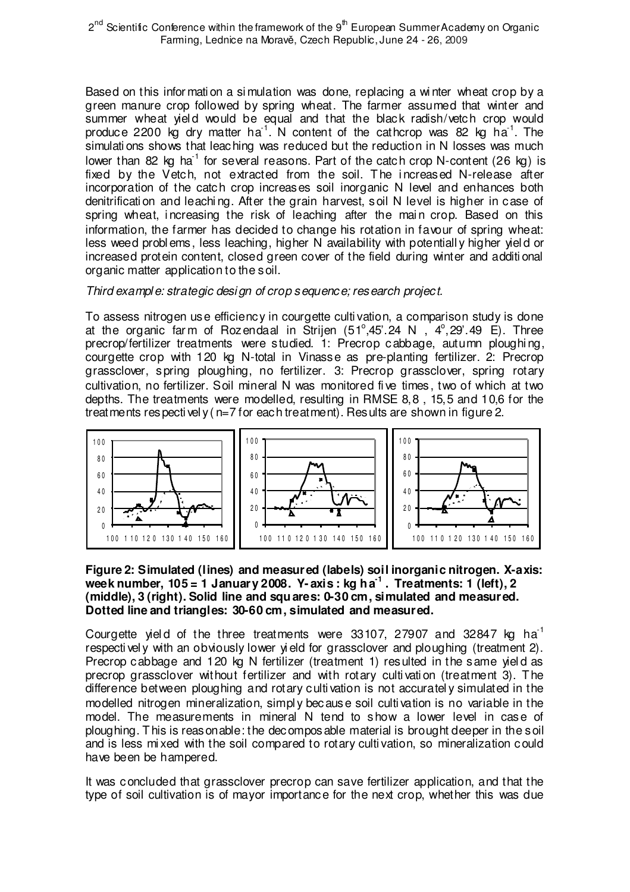Based on this infor mati on a si mulation was done, replacing a wi nter wheat crop by a green manure crop followed by spring wheat. The farmer assumed that winter and summer wheat yield would be equal and that the black radish/vetch crop would produce 2200 kg dry matter ha<sup>1</sup>. N content of the cathcrop was 82 kg ha<sup>1</sup>. The simulati ons shows that leaching was reduced but the reduction in N losses was much lower than 82 kg ha<sup>-1</sup> for several reasons. Part of the catch crop N-content (26 kg) is fixed by the Vetch, not extracted from the soil. The increased N-release after incorporation of the catch crop increases soil inorganic N level and enhances both denitrificati on and leachi ng. After the grain harvest, soil N level is higher in case of spring wheat, increasing the risk of leaching after the main crop. Based on this information, the farmer has decided to change his rotation in favour of spring wheat: less weed probl ems, less leaching, higher N availability with potentiall y higher yiel d or increased protein content, closed green cover of the field during winter and additi onal organic matter application to the soil.

#### Third example: strategic design of crop sequence; research project.

To assess nitrogen use efficiency in courgette culti vation, a comparison study is done at the organic farm of Rozendaal in Strijen  $(51^{\circ},45^{\circ}.24 \text{ N}$ ,  $4^{\circ},29^{\circ}.49 \text{ E})$ . Three precrop/fertilizer treatments were studied. 1: Precrop cabbage, autumn ploughi ng, courgette crop with 120 kg N-total in Vinasse as pre-planting fertilizer. 2: Precrop grassclover, spring ploughing, no fertilizer. 3: Precrop grassclover, spring rotary cultivation, no fertilizer. Soil mineral N was monitored fi ve times, two of which at two depths. The treatments were modelled, resulting in RMSE 8,8 , 15,5 and 10,6 for the treatments respectivel y  $(n=7$  for each treatment). Results are shown in figure 2.



#### **Figure 2: Simulated (lines) and measured (labels) soil inorganic nitrogen. X-axis: week number, 105 = 1 January 2008. Y- axis : kg ha-1 . Treatments: 1 (left), 2 (middle), 3 (right). Solid line and squares: 0-30 cm, simulated and measured. Dotted line and triangles: 30-60 cm, simulated and measured.**

Courgette yield of the three treatments were  $33107$ , 27907 and  $32847$  kg ha<sup>-1</sup> respectively with an obviously lower yield for grassclover and ploughing (treatment 2). Precrop cabbage and 120 kg N fertilizer (treatment 1) resulted in the same yiel d as precrop grassclover without fertilizer and with rotary culti vati on (treatment 3). The difference between ploughing and rotary culti vation is not accuratel y simulated in the modelled nitrogen mineralization, simpl y because soil culti vation is no variable in the model. The measurements in mineral N tend to show a lower level in case of ploughing. This is reasonable: the decomposable material is brought deeper in the soil and is less mi xed with the soil compared to rotary culti vation, so mineralization could have been be hampered.

It was concluded that grassclover precrop can save fertilizer application, and that the type of soil cultivation is of mayor importance for the next crop, whether this was due